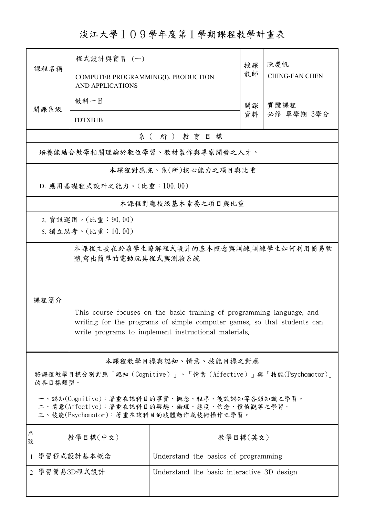淡江大學109學年度第1學期課程教學計畫表

|                                                                                       | 課程名稱                                                     | 程式設計與實習 (一)                                                                                                                                                                                               |                                      | 授課 | 陳慶帆<br><b>CHING-FAN CHEN</b> |  |  |  |
|---------------------------------------------------------------------------------------|----------------------------------------------------------|-----------------------------------------------------------------------------------------------------------------------------------------------------------------------------------------------------------|--------------------------------------|----|------------------------------|--|--|--|
|                                                                                       |                                                          | COMPUTER PROGRAMMING(I), PRODUCTION<br><b>AND APPLICATIONS</b>                                                                                                                                            |                                      | 教師 |                              |  |  |  |
|                                                                                       | 開課系級                                                     | 教科一B                                                                                                                                                                                                      |                                      | 開課 | 實體課程<br>必修 單學期 3學分           |  |  |  |
|                                                                                       |                                                          | <b>TDTXB1B</b>                                                                                                                                                                                            |                                      | 資料 |                              |  |  |  |
|                                                                                       | 系(所)教育目標                                                 |                                                                                                                                                                                                           |                                      |    |                              |  |  |  |
| 培養能結合教學相關理論於數位學習、教材製作與專案開發之人才。                                                        |                                                          |                                                                                                                                                                                                           |                                      |    |                              |  |  |  |
| 本課程對應院、系(所)核心能力之項目與比重                                                                 |                                                          |                                                                                                                                                                                                           |                                      |    |                              |  |  |  |
| D. 應用基礎程式設計之能力。(比重:100.00)                                                            |                                                          |                                                                                                                                                                                                           |                                      |    |                              |  |  |  |
| 本課程對應校級基本素養之項目與比重                                                                     |                                                          |                                                                                                                                                                                                           |                                      |    |                              |  |  |  |
|                                                                                       |                                                          | 2. 資訊運用。(比重: 90.00)                                                                                                                                                                                       |                                      |    |                              |  |  |  |
|                                                                                       | 5. 獨立思考。(比重:10.00)                                       |                                                                                                                                                                                                           |                                      |    |                              |  |  |  |
| 本課程主要在於讓學生瞭解程式設計的基本概念與訓練,訓練學生如何利用簡易軟                                                  |                                                          |                                                                                                                                                                                                           |                                      |    |                              |  |  |  |
|                                                                                       |                                                          | 體,寫出簡單的電動玩具程式與測驗系統                                                                                                                                                                                        |                                      |    |                              |  |  |  |
|                                                                                       |                                                          |                                                                                                                                                                                                           |                                      |    |                              |  |  |  |
| 課程簡介                                                                                  |                                                          |                                                                                                                                                                                                           |                                      |    |                              |  |  |  |
|                                                                                       |                                                          | This course focuses on the basic training of programming language, and<br>writing for the programs of simple computer games, so that students can<br>write programs to implement instructional materials. |                                      |    |                              |  |  |  |
|                                                                                       |                                                          |                                                                                                                                                                                                           |                                      |    |                              |  |  |  |
|                                                                                       |                                                          |                                                                                                                                                                                                           |                                      |    |                              |  |  |  |
| 本課程教學目標與認知、情意、技能目標之對應                                                                 |                                                          |                                                                                                                                                                                                           |                                      |    |                              |  |  |  |
| 將課程教學目標分別對應「認知(Cognitive)」、「情意(Affective)」與「技能(Psychomotor)」<br>的各目標類型。               |                                                          |                                                                                                                                                                                                           |                                      |    |                              |  |  |  |
| 一、認知(Cognitive):著重在該科目的事實、概念、程序、後設認知等各類知識之學習。                                         |                                                          |                                                                                                                                                                                                           |                                      |    |                              |  |  |  |
| 二、情意(Affective):著重在該科目的興趣、倫理、態度、信念、價值觀等之學習。<br>三、技能(Psychomotor):著重在該科目的肢體動作或技術操作之學習。 |                                                          |                                                                                                                                                                                                           |                                      |    |                              |  |  |  |
| 序                                                                                     | 教學目標(英文)                                                 |                                                                                                                                                                                                           |                                      |    |                              |  |  |  |
| 號                                                                                     | 教學目標(中文)                                                 |                                                                                                                                                                                                           |                                      |    |                              |  |  |  |
| $\mathbf{1}$                                                                          | 學習程式設計基本概念                                               |                                                                                                                                                                                                           | Understand the basics of programming |    |                              |  |  |  |
| $\overline{2}$                                                                        | 學習簡易3D程式設計<br>Understand the basic interactive 3D design |                                                                                                                                                                                                           |                                      |    |                              |  |  |  |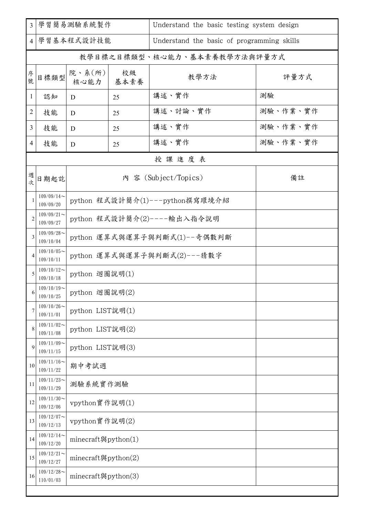| $\overline{3}$ | 學習簡易測驗系統製作                 |                                    |    | Understand the basic testing system design |          |  |  |  |
|----------------|----------------------------|------------------------------------|----|--------------------------------------------|----------|--|--|--|
| 4              | 學習基本程式設計技能                 |                                    |    | Understand the basic of programming skills |          |  |  |  |
|                |                            |                                    |    | 教學目標之目標類型、核心能力、基本素養教學方法與評量方式               |          |  |  |  |
| 序號             | 目標類型                       | 院、系 $(\kappa)$<br>核心能力   基本素養      | 校級 | 教學方法                                       | 評量方式     |  |  |  |
| 1              | 認知                         | D                                  | 25 | 講述、實作                                      | 測驗       |  |  |  |
| $\overline{c}$ | 技能                         | D                                  | 25 | 講述、討論、實作                                   | 測驗、作業、實作 |  |  |  |
| 3              | 技能                         | D                                  | 25 | 講述、實作                                      | 測驗、作業、實作 |  |  |  |
| $\overline{4}$ | 技能                         | D                                  | 25 | 講述、實作                                      | 測驗、作業、實作 |  |  |  |
|                | 授課進度表                      |                                    |    |                                            |          |  |  |  |
| 週次             | 日期起訖                       | 内 容 (Subject/Topics)               |    |                                            | 備註       |  |  |  |
|                | $109/09/14$ ~<br>109/09/20 | python 程式設計簡介(1)---python撰寫環境介紹    |    |                                            |          |  |  |  |
| $\overline{2}$ | $109/09/21$ ~<br>109/09/27 | python 程式設計簡介(2)----輸出入指令說明        |    |                                            |          |  |  |  |
| 3              | $109/09/28$ ~<br>109/10/04 | python 運算式與運算子與判斷式(1)--奇偶數判斷       |    |                                            |          |  |  |  |
| $\overline{4}$ | $109/10/05$ ~<br>109/10/11 | python 運算式與運算子與判斷式(2)---猜數字        |    |                                            |          |  |  |  |
| 5              | $109/10/12$ ~<br>109/10/18 | python 迴圈說明(1)                     |    |                                            |          |  |  |  |
| $\sigma$       | $109/10/19$ ~<br>109/10/25 | python 迴圈說明(2)                     |    |                                            |          |  |  |  |
| 7              | $109/10/26$ ~<br>109/11/01 | python LIST說明(1)                   |    |                                            |          |  |  |  |
| 8              | $109/11/02$ ~<br>109/11/08 | python LIST說明(2)                   |    |                                            |          |  |  |  |
| 9              | $109/11/09$ ~<br>109/11/15 | python LIST說明(3)                   |    |                                            |          |  |  |  |
| 10             | $109/11/16$ ~<br>109/11/22 | 期中考試週                              |    |                                            |          |  |  |  |
| 11             | $109/11/23$ ~<br>109/11/29 | 測驗系統實作測驗                           |    |                                            |          |  |  |  |
| 12             | $109/11/30$ ~<br>109/12/06 | vpython實作說明(1)                     |    |                                            |          |  |  |  |
| 13             | $109/12/07$ ~<br>109/12/13 | vpython實作說明(2)                     |    |                                            |          |  |  |  |
| 14             | $109/12/14$ ~<br>109/12/20 | minecraft與python $(1)$             |    |                                            |          |  |  |  |
| 15             | $109/12/21$ ~<br>109/12/27 | minecraft@python $(2)$             |    |                                            |          |  |  |  |
| 16             | $109/12/28$ ~<br>110/01/03 | minecraft $\mathfrak{H}$ python(3) |    |                                            |          |  |  |  |
|                |                            |                                    |    |                                            |          |  |  |  |